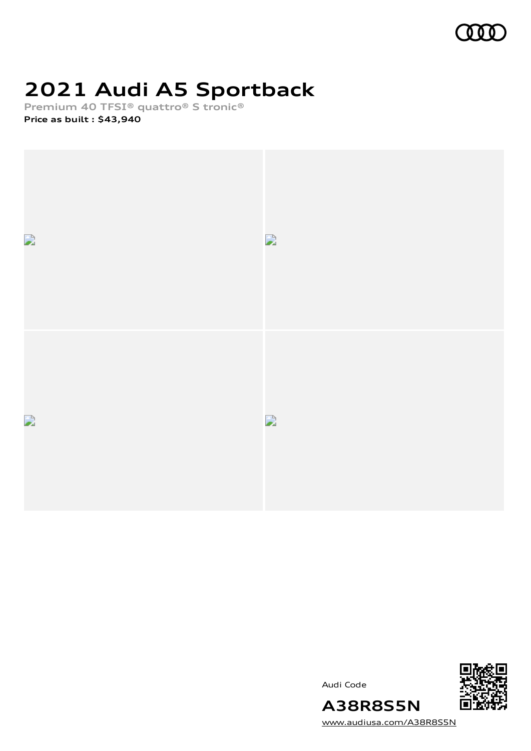

# **2021 Audi A5 Sportback**

**Premium 40 TFSI® quattro® S tronic®**

**Price as built [:](#page-10-0) \$43,940**



Audi Code



[www.audiusa.com/A38R8S5N](https://www.audiusa.com/A38R8S5N)

**A38R8S5N**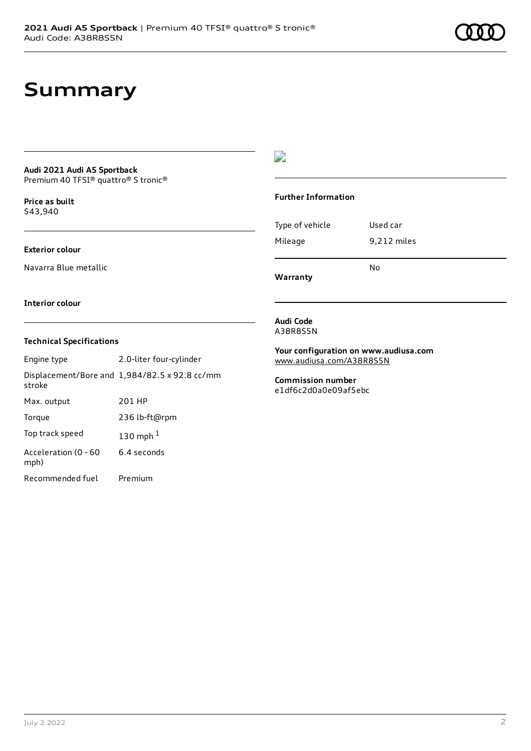### **Summary**

#### **Audi 2021 Audi A5 Sportback** Premium 40 TFSI® quattro® S tronic®

**Price as buil[t](#page-10-0)** \$43,940

#### **Exterior colour**

Navarra Blue metallic

### **Interior colour**

#### **Technical Specifications**

| Engine type                  | 2.0-liter four-cylinder                       |
|------------------------------|-----------------------------------------------|
| stroke                       | Displacement/Bore and 1,984/82.5 x 92.8 cc/mm |
| Max. output                  | 201 HP                                        |
| Torque                       | 236 lb-ft@rpm                                 |
| Top track speed              | 130 mph $1$                                   |
| Acceleration (0 - 60<br>mph) | 6.4 seconds                                   |
| Recommended fuel             | Premium                                       |

#### $\overline{\phantom{a}}$

#### **Further Information**

| Type of vehicle | Used car    |
|-----------------|-------------|
| Mileage         | 9,212 miles |
|                 | No          |

**Warranty**

#### **Audi Code** A38R8S5N

**Your configuration on www.audiusa.com**

[www.audiusa.com/A38R8S5N](https://www.audiusa.com/A38R8S5N)

**Commission number** e1df6c2d0a0e09af5ebc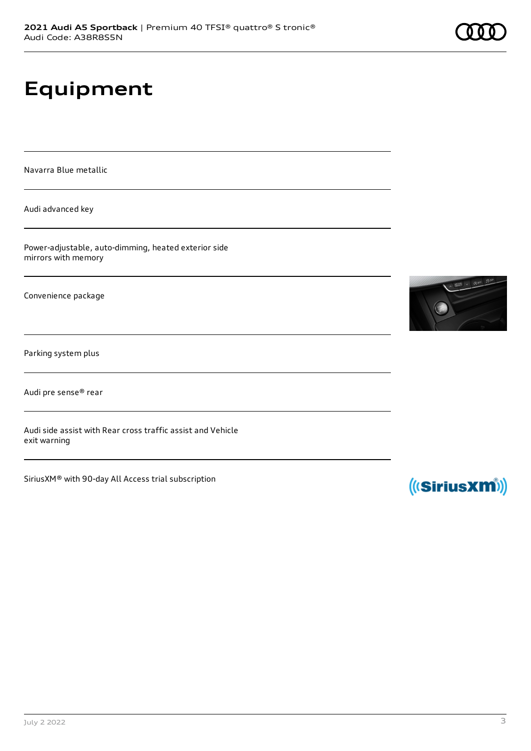# **Equipment**

Navarra Blue metallic

Audi advanced key

Power-adjustable, auto-dimming, heated exterior side mirrors with memory

Convenience package

Parking system plus

Audi pre sense® rear

Audi side assist with Rear cross traffic assist and Vehicle exit warning

SiriusXM® with 90-day All Access trial subscription





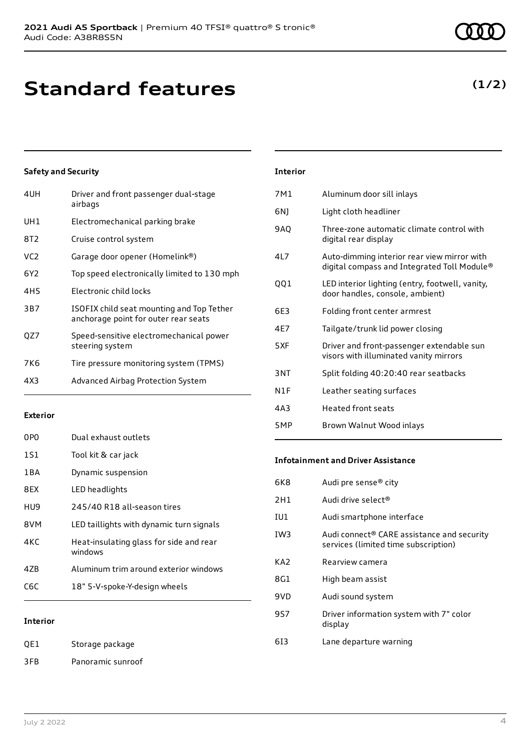## **Standard features**

### **Safety and Security**

| 4UH             | Driver and front passenger dual-stage<br>airbags                                  |
|-----------------|-----------------------------------------------------------------------------------|
| UH1             | Electromechanical parking brake                                                   |
| 8T2             | Cruise control system                                                             |
| VC <sub>2</sub> | Garage door opener (Homelink®)                                                    |
| 6Y2             | Top speed electronically limited to 130 mph                                       |
| 4H <sub>5</sub> | Electronic child locks                                                            |
| 3B7             | ISOFIX child seat mounting and Top Tether<br>anchorage point for outer rear seats |
| QZ7             | Speed-sensitive electromechanical power<br>steering system                        |
| 7K6             | Tire pressure monitoring system (TPMS)                                            |
| 4X3             | Advanced Airbag Protection System                                                 |

#### **Exterior**

| 0PO   | Dual exhaust outlets                               |
|-------|----------------------------------------------------|
| 1S1   | Tool kit & car jack                                |
| 1 B A | Dynamic suspension                                 |
| 8EX   | LED headlights                                     |
| HU9.  | 245/40 R18 all-season tires                        |
| 8VM   | LED taillights with dynamic turn signals           |
| 4KC   | Heat-insulating glass for side and rear<br>windows |
| 47B   | Aluminum trim around exterior windows              |
| C6C   | 18" 5-V-spoke-Y-design wheels                      |
|       |                                                    |

#### **Interior**

QE1 Storage package 3FB Panoramic sunroof

### 6NJ Light cloth headliner 9AQ Three-zone automatic climate control with digital rear display 4L7 Auto-dimming interior rear view mirror with digital compass and Integrated Toll Module® QQ1 LED interior lighting (entry, footwell, vanity, door handles, console, ambient) 6E3 Folding front center armrest 4E7 Tailgate/trunk lid power closing 5XF Driver and front-passenger extendable sun visors with illuminated vanity mirrors 3NT Split folding 40:20:40 rear seatbacks

7M1 Aluminum door sill inlays

**Interior**

- N1F Leather seating surfaces
- 4A3 Heated front seats
- 5MP Brown Walnut Wood inlays

#### **Infotainment and Driver Assistance**

| 6K8 | Audi pre sense® city                                                               |
|-----|------------------------------------------------------------------------------------|
| 2H1 | Audi drive select <sup>®</sup>                                                     |
| IU1 | Audi smartphone interface                                                          |
| IW3 | Audi connect® CARE assistance and security<br>services (limited time subscription) |
| KA2 | Rearview camera                                                                    |
| 8G1 | High beam assist                                                                   |
| 9VD | Audi sound system                                                                  |
| 9S7 | Driver information system with 7" color<br>display                                 |
| 613 | Lane departure warning                                                             |
|     |                                                                                    |

### **(1/2)**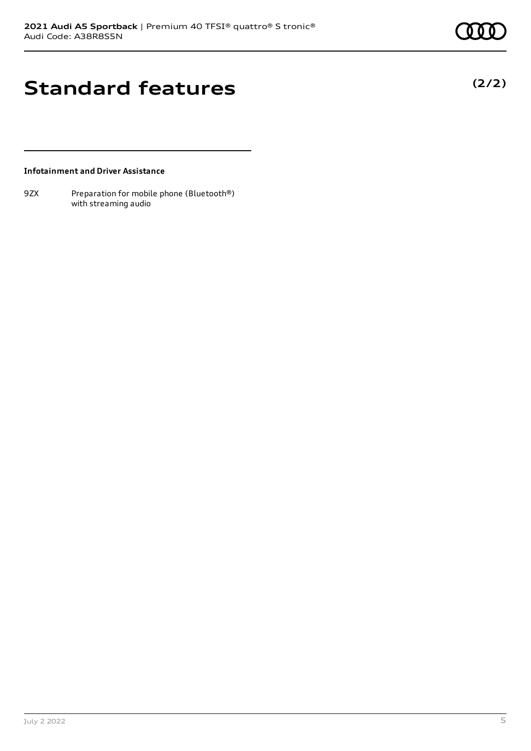**(2/2)**

# **Standard features**

**Infotainment and Driver Assistance**

9ZX Preparation for mobile phone (Bluetooth®) with streaming audio

July 2 2022 5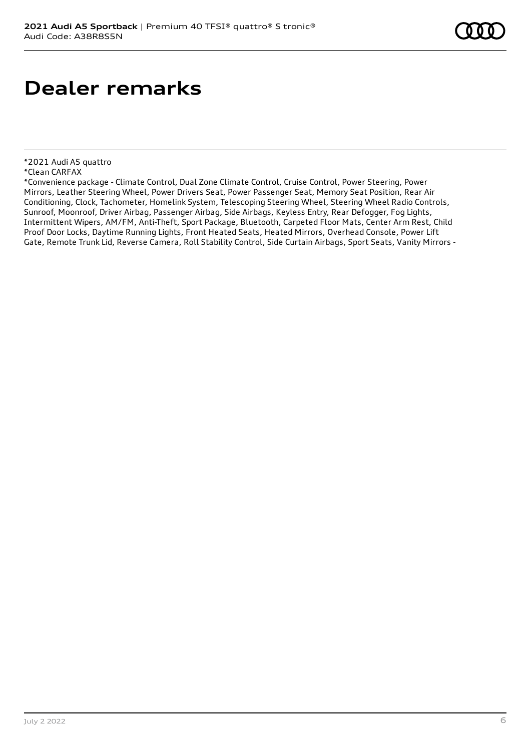### **Dealer remarks**

<sup>\*2021</sup> Audi A5 quattro

<sup>\*</sup>Clean CARFAX

<sup>\*</sup>Convenience package - Climate Control, Dual Zone Climate Control, Cruise Control, Power Steering, Power Mirrors, Leather Steering Wheel, Power Drivers Seat, Power Passenger Seat, Memory Seat Position, Rear Air Conditioning, Clock, Tachometer, Homelink System, Telescoping Steering Wheel, Steering Wheel Radio Controls, Sunroof, Moonroof, Driver Airbag, Passenger Airbag, Side Airbags, Keyless Entry, Rear Defogger, Fog Lights, Intermittent Wipers, AM/FM, Anti-Theft, Sport Package, Bluetooth, Carpeted Floor Mats, Center Arm Rest, Child Proof Door Locks, Daytime Running Lights, Front Heated Seats, Heated Mirrors, Overhead Console, Power Lift Gate, Remote Trunk Lid, Reverse Camera, Roll Stability Control, Side Curtain Airbags, Sport Seats, Vanity Mirrors -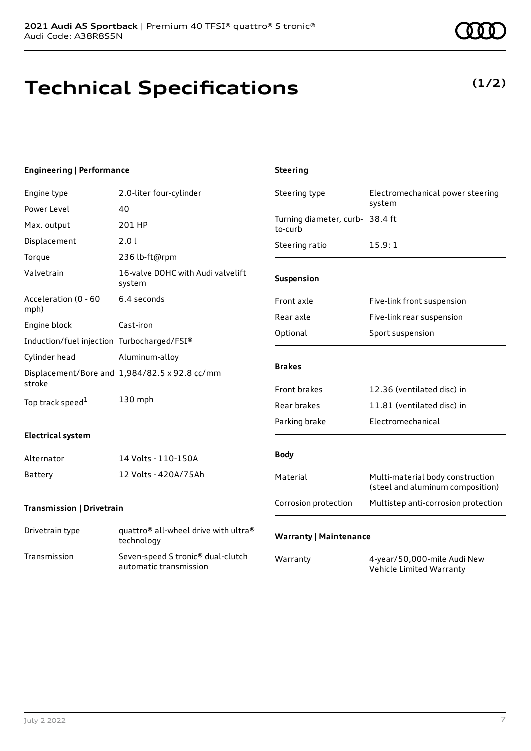**Technical Specifications**

#### **Engineering | Performance**

| Engine type                                | 2.0-liter four-cylinder                                     | Steering type                              | Electromechanical power steering<br>system                           |
|--------------------------------------------|-------------------------------------------------------------|--------------------------------------------|----------------------------------------------------------------------|
| Power Level                                | 40                                                          |                                            |                                                                      |
| Max. output                                | 201 HP                                                      | Turning diameter, curb- 38.4 ft<br>to-curb |                                                                      |
| Displacement                               | 2.0 l                                                       | Steering ratio                             | 15.9:1                                                               |
| Torque                                     | 236 lb-ft@rpm                                               |                                            |                                                                      |
| Valvetrain                                 | 16-valve DOHC with Audi valvelift<br>system                 | Suspension                                 |                                                                      |
| Acceleration (0 - 60<br>mph)               | 6.4 seconds                                                 | Front axle                                 | Five-link front suspension                                           |
| Engine block                               | Cast-iron                                                   | Rear axle                                  | Five-link rear suspension                                            |
|                                            |                                                             | Optional                                   | Sport suspension                                                     |
| Induction/fuel injection Turbocharged/FSI® |                                                             |                                            |                                                                      |
| Cylinder head                              | Aluminum-alloy                                              |                                            |                                                                      |
| stroke                                     | Displacement/Bore and 1,984/82.5 x 92.8 cc/mm               | <b>Brakes</b>                              |                                                                      |
|                                            |                                                             | Front brakes                               | 12.36 (ventilated disc) in                                           |
| Top track speed <sup>1</sup>               | 130 mph                                                     | Rear brakes                                | 11.81 (ventilated disc) in                                           |
|                                            |                                                             | Parking brake                              | Electromechanical                                                    |
| <b>Electrical system</b>                   |                                                             |                                            |                                                                      |
| Alternator                                 | 14 Volts - 110-150A                                         | <b>Body</b>                                |                                                                      |
| <b>Battery</b>                             | 12 Volts - 420A/75Ah                                        | Material                                   | Multi-material body construction<br>(steel and aluminum composition) |
| <b>Transmission   Drivetrain</b>           |                                                             | Corrosion protection                       | Multistep anti-corrosion protection                                  |
| Drivetrain type                            | quattro® all-wheel drive with ultra®<br>technology          | <b>Warranty   Maintenance</b>              |                                                                      |
| Transmission                               | Seven-speed S tronic® dual-clutch<br>automatic transmission | Warranty                                   | 4-year/50,000-mile Audi New<br>Vehicle Limited Warranty              |

**Steering**

### **(1/2)**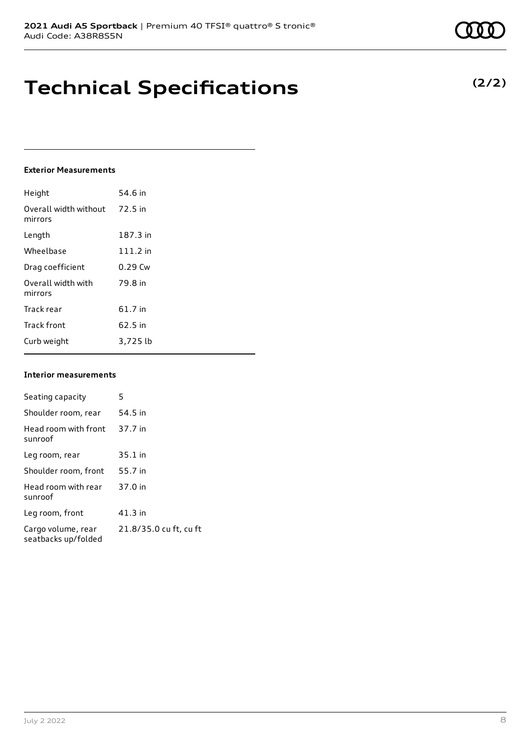### **Technical Specifications**

#### **Exterior Measurements**

| Height                           | 54.6 in   |
|----------------------------------|-----------|
| Overall width without<br>mirrors | 72.5 in   |
| Length                           | 187.3 in  |
| Wheelbase                        | 111.2 in  |
| Drag coefficient                 | $0.29$ Cw |
| Overall width with<br>mirrors    | 79.8 in   |
| Track rear                       | 61.7 in   |
| <b>Track front</b>               | 62.5 in   |
| Curb weight                      | 3,725 lb  |

#### **Interior measurements**

| Seating capacity                          | 5                      |
|-------------------------------------------|------------------------|
| Shoulder room, rear                       | 54.5 in                |
| Head room with front<br>sunroof           | 37.7 in                |
| Leg room, rear                            | 35.1 in                |
| Shoulder room, front                      | 55.7 in                |
| Head room with rear<br>sunroof            | 37.0 in                |
| Leg room, front                           | $41.3$ in              |
| Cargo volume, rear<br>seatbacks up/folded | 21.8/35.0 cu ft, cu ft |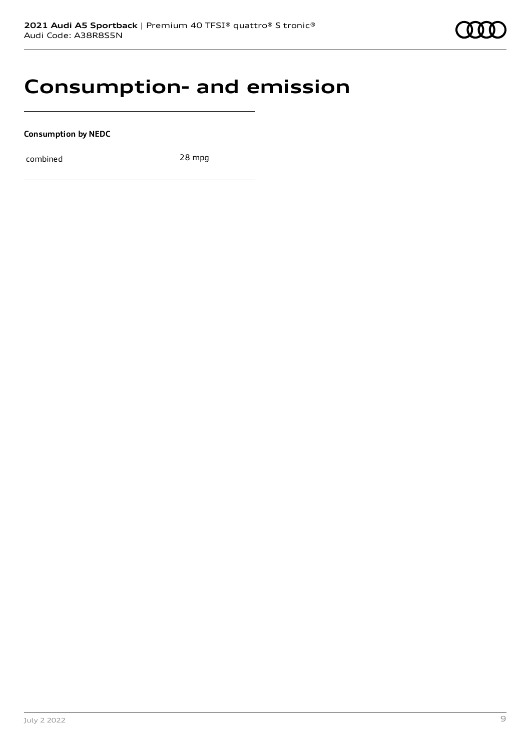### **Consumption- and emission**

**Consumption by NEDC**

combined 28 mpg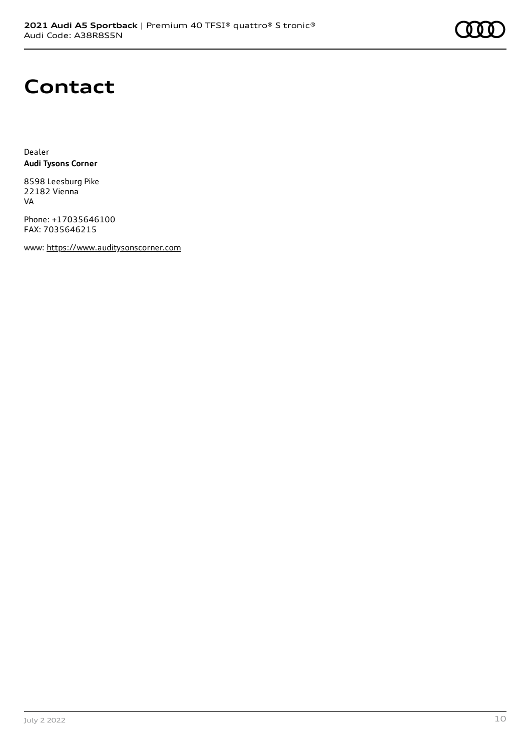

# **Contact**

Dealer **Audi Tysons Corner**

8598 Leesburg Pike 22182 Vienna VA

Phone: +17035646100 FAX: 7035646215

www: [https://www.auditysonscorner.com](https://www.auditysonscorner.com/)